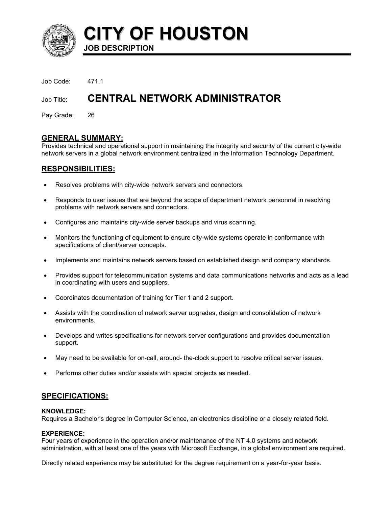

**CITY OF HOUSTON JOB DESCRIPTION** 

Job Code: 471.1

# Job Title: **CENTRAL NETWORK ADMINISTRATOR**

Pay Grade: 26

### **GENERAL SUMMARY:**

Provides technical and operational support in maintaining the integrity and security of the current city-wide network servers in a global network environment centralized in the Information Technology Department.

# **RESPONSIBILITIES:**

- Resolves problems with city-wide network servers and connectors.
- Responds to user issues that are beyond the scope of department network personnel in resolving problems with network servers and connectors.
- Configures and maintains city-wide server backups and virus scanning.
- Monitors the functioning of equipment to ensure city-wide systems operate in conformance with specifications of client/server concepts.
- Implements and maintains network servers based on established design and company standards.
- Provides support for telecommunication systems and data communications networks and acts as a lead in coordinating with users and suppliers.
- Coordinates documentation of training for Tier 1 and 2 support.
- Assists with the coordination of network server upgrades, design and consolidation of network environments.
- Develops and writes specifications for network server configurations and provides documentation support.
- May need to be available for on-call, around- the-clock support to resolve critical server issues.
- Performs other duties and/or assists with special projects as needed.

# **SPECIFICATIONS:**

#### **KNOWLEDGE:**

Requires a Bachelor's degree in Computer Science, an electronics discipline or a closely related field.

#### **EXPERIENCE:**

Four years of experience in the operation and/or maintenance of the NT 4.0 systems and network administration, with at least one of the years with Microsoft Exchange, in a global environment are required.

Directly related experience may be substituted for the degree requirement on a year-for-year basis.